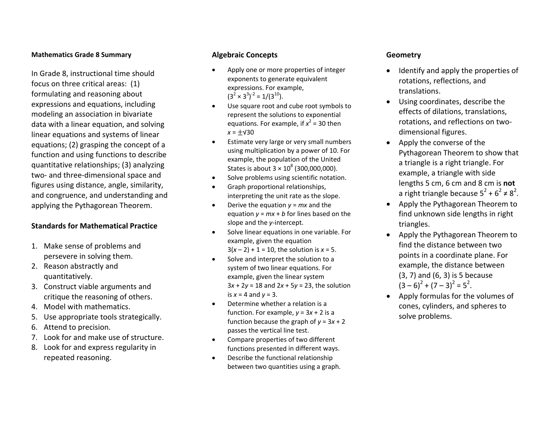#### **Mathematics Grade 8 Summary**

In Grade 8, instructional time should focus on three critical areas: (1) formulating and reasoning about expressions and equations, including modeling an association in bivariate data with <sup>a</sup> linear equation, and solving linear equations and systems of linear equations; (2) grasping the concept of <sup>a</sup> function and using functions to describe quantitative relationships; (3) analyzing two‐ and three‐dimensional space and figures using distance, angle, similarity, and congruence, and understanding and applying the Pythagorean Theorem.

### **Standards for Mathematical Practice**

- 1. Make sense of problems and persevere in solving them.
- 2. Reason abstractly and quantitatively.
- 3. Construct viable arguments and critique the reasoning of others.
- 4. Model with mathematics.
- 5. Use appropriate tools strategically.
- 6. Attend to precision.
- 7. Look for and make use of structure.
- 8. Look for and express regularity in repeated reasoning.

# **Algebraic Concepts**

- . Apply one or more properties of integer exponents to generate equivalent expressions. For example,  $(3^2 \times 3^3)^{-2} = 1/(3^{10}).$
- . Use square root and cube root symbols to represent the solutions to exponential equations. For example, if *x* 2 = 30 then *x* <sup>=</sup> ± √30
- 0 Estimate very large or very small numbers using multiplication by <sup>a</sup> power of 10. For example, the population of the United States is about 3  $\times$  10 $^{8}$  (300,000,000).
- 0 **•** Solve problems using scientific notation.
- 0 Graph proportional relationships, interpreting the unit rate as the slope.
- . • Derive the equation  $y = mx$  and the equation *y* <sup>=</sup> *mx* +*b* for lines based on the slope and the *y*‐intercept.
- . **•** Solve linear equations in one variable. For example, given the equation 3( *x*– 2) + 1 <sup>=</sup> 10, the solution is *x* <sup>=</sup> 5.
- . • Solve and interpret the solution to a system of two linear equations. For example, given the linear system 3*x* + 2*y* <sup>=</sup> 18 and 2*<sup>x</sup>* + 5*y* <sup>=</sup> 23, the solution is *x* <sup>=</sup> 4 and *y* <sup>=</sup> 3.
- 0 Determine whether <sup>a</sup> relation is <sup>a</sup> function. For example, *y* <sup>=</sup> 3*<sup>x</sup>* + 2 is <sup>a</sup> function because the graph of *y* <sup>=</sup> 3*<sup>x</sup>* + 2 passes the vertical line test.
- 0 Compare properties of two different functions presented in different ways.
- 0 Describe the functional relationship between two quantities using <sup>a</sup> graph.

# **Geometry**

- . Identify and apply the properties of rotations, reflections, and translations.
- Using coordinates, describe the effects of dilations, translations, rotations, and reflections on two‐ dimensional figures.
- Apply the converse of the Pythagorean Theorem to show that a triangle is <sup>a</sup> right triangle. For example, <sup>a</sup> triangle with side lengths 5 cm, 6 cm and 8 cm is **not** a right triangle because  $5^2 + 6^2 \neq 8^2$ .
- Apply the Pythagorean Theorem to find unknown side lengths in right triangles.
- Apply the Pythagorean Theorem to find the distance between twopoints in <sup>a</sup> coordinate plane. For example, the distance between (3, 7) and (6, 3) is 5 because  $(3-6)^2 + (7-3)^2 = 5^2$ .
- . Apply formulas for the volumes of cones, cylinders, and spheres to solve problems.